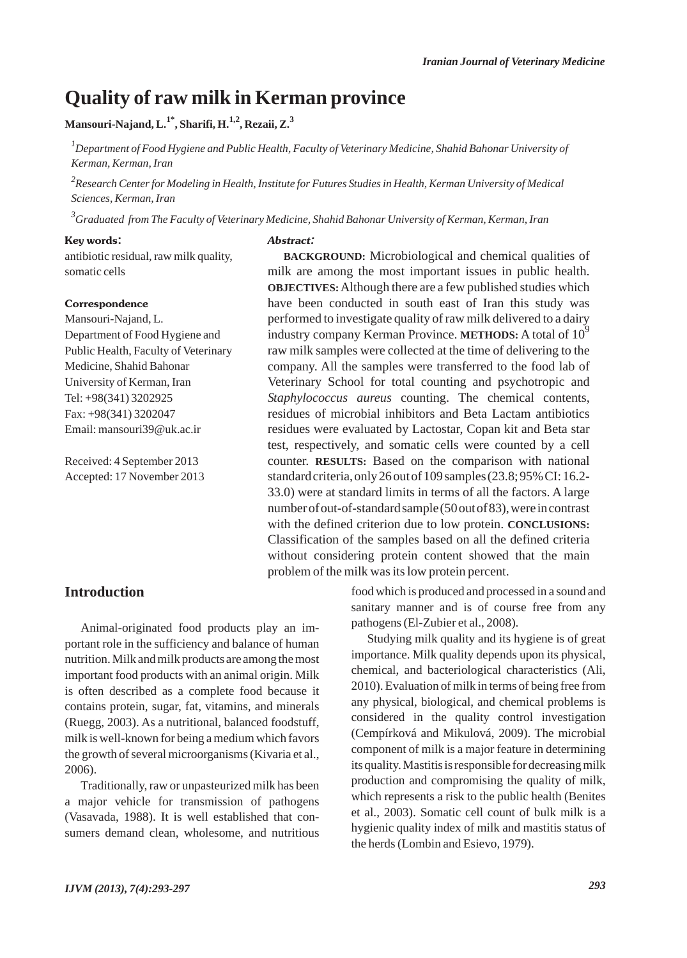# **Quality of raw milk in Kerman province**

### **Mansouri-Najand, L.1\*, Sharifi, H.1,2, Rezaii, Z.3**

*1 Department of Food Hygiene and Public Health, Faculty of Veterinary Medicine, Shahid Bahonar University of Kerman, Kerman, Iran*

*2 Research Center for Modeling in Health, Institute for Futures Studies in Health, Kerman University of Medical Sciences, Kerman, Iran*

*3 Graduated from The Faculty of Veterinary Medicine, Shahid Bahonar University of Kerman, Kerman, Iran*

#### Key words:

antibiotic residual, raw milk quality, somatic cells

#### **Correspondence**

Mansouri-Najand, L. Department of Food Hygiene and Public Health, Faculty of Veterinary Medicine, Shahid Bahonar University of Kerman, Iran Tel: +98(341) 3202925 Fax: +98(341) 3202047 Email: mansouri39@uk.ac.ir

Received: 4 September 2013 Accepted: 17 November 2013

#### Abstract:

**BACKGROUND:** Microbiological and chemical qualities of milk are among the most important issues in public health. **OBJECTIVES:**Although there are a few published studies which have been conducted in south east of Iran this study was performed to investigate quality of raw milk delivered to a dairy industry company Kerman Province. **METHODS:** A total of 10<sup>9</sup> raw milk samples were collected at the time of delivering to the company. All the samples were transferred to the food lab of Veterinary School for total counting and psychotropic and *Staphylococcus aureus* counting. The chemical contents, residues of microbial inhibitors and Beta Lactam antibiotics residues were evaluated by Lactostar, Copan kit and Beta star test, respectively, and somatic cells were counted by a cell counter. **RESULTS:** Based on the comparison with national standard criteria, only 26 out of 109 samples (23.8; 95% CI: 16.2- 33.0) were at standard limits in terms of all the factors. A large number of out-of-standard sample (50 out of 83), were in contrast with the defined criterion due to low protein. **CONCLUSIONS:** Classification of the samples based on all the defined criteria without considering protein content showed that the main problem of the milk was its low protein percent.

#### **Introduction**

Animal-originated food products play an important role in the sufficiency and balance of human nutrition. Milk and milk products are among the most important food products with an animal origin. Milk is often described as a complete food because it contains protein, sugar, fat, vitamins, and minerals (Ruegg, 2003). As a nutritional, balanced foodstuff, milk is well-known for being a medium which favors the growth of several microorganisms (Kivaria et al., 2006).

Traditionally, raw or unpasteurized milk has been a major vehicle for transmission of pathogens (Vasavada, 1988). It is well established that consumers demand clean, wholesome, and nutritious

food which is produced and processed in a sound and sanitary manner and is of course free from any pathogens (El-Zubier et al., 2008).

Studying milk quality and its hygiene is of great importance. Milk quality depends upon its physical, chemical, and bacteriological characteristics (Ali, 2010). Evaluation of milk in terms of being free from any physical, biological, and chemical problems is considered in the quality control investigation (Cempírková and Mikulová, 2009). The microbial component of milk is a major feature in determining its quality. Mastitis is responsible for decreasing milk production and compromising the quality of milk, which represents a risk to the public health (Benites et al., 2003). Somatic cell count of bulk milk is a hygienic quality index of milk and mastitis status of the herds (Lombin and Esievo, 1979).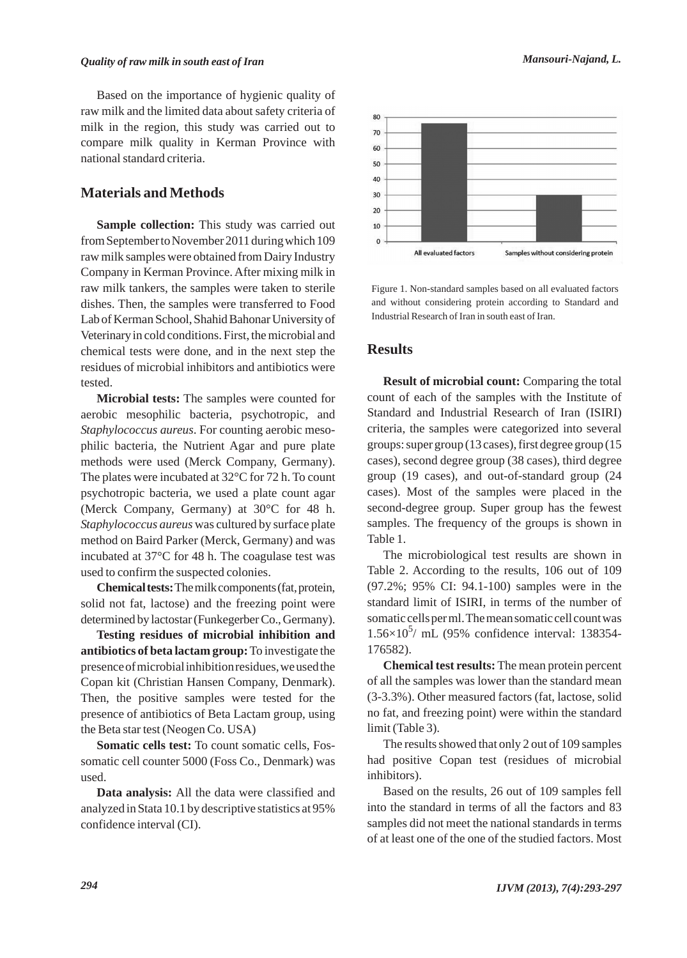Based on the importance of hygienic quality of raw milk and the limited data about safety criteria of milk in the region, this study was carried out to compare milk quality in Kerman Province with national standard criteria.

### **Materials and Methods**

**Sample collection:** This study was carried out from September to November 2011 during which 109 raw milk samples were obtained from Dairy Industry Company in Kerman Province. After mixing milk in raw milk tankers, the samples were taken to sterile dishes. Then, the samples were transferred to Food Lab of Kerman School, Shahid Bahonar University of Veterinary in cold conditions. First, the microbial and chemical tests were done, and in the next step the residues of microbial inhibitors and antibiotics were tested.

**Microbial tests:** The samples were counted for aerobic mesophilic bacteria, psychotropic, and *Staphylococcus aureus*. For counting aerobic mesophilic bacteria, the Nutrient Agar and pure plate methods were used (Merck Company, Germany). The plates were incubated at 32°C for 72 h. To count psychotropic bacteria, we used a plate count agar (Merck Company, Germany) at 30°C for 48 h. *Staphylococcus aureus* was cultured by surface plate method on Baird Parker (Merck, Germany) and was incubated at 37°C for 48 h. The coagulase test was used to confirm the suspected colonies.

**Chemical tests:**The milk components (fat, protein, solid not fat, lactose) and the freezing point were determined by lactostar (Funkegerber Co., Germany).

**Testing residues of microbial inhibition and antibiotics of beta lactam group:**To investigate the presence of microbial inhibition residues, we used the Copan kit (Christian Hansen Company, Denmark). Then, the positive samples were tested for the presence of antibiotics of Beta Lactam group, using the Beta star test (Neogen Co. USA)

**Somatic cells test:** To count somatic cells, Fossomatic cell counter 5000 (Foss Co., Denmark) was used.

**Data analysis:** All the data were classified and analyzed in Stata 10.1 by descriptive statistics at 95% confidence interval (CI).



Figure 1. Non-standard samples based on all evaluated factors and without considering protein according to Standard and Industrial Research of Iran in south east of Iran.

#### **Results**

**Result of microbial count:** Comparing the total count of each of the samples with the Institute of Standard and Industrial Research of Iran (ISIRI) criteria, the samples were categorized into several groups: super group (13 cases), first degree group (15 cases), second degree group (38 cases), third degree group (19 cases), and out-of-standard group (24 cases). Most of the samples were placed in the second-degree group. Super group has the fewest samples. The frequency of the groups is shown in Table 1.

The microbiological test results are shown in Table 2. According to the results, 106 out of 109 (97.2%; 95% CI: 94.1-100) samples were in the standard limit of ISIRI, in terms of the number of somatic cells per ml. The mean somatic cell count was  $1.56\times10^5$ / mL (95% confidence interval: 138354-176582).

**Chemical test results:** The mean protein percent of all the samples was lower than the standard mean (3-3.3%). Other measured factors (fat, lactose, solid no fat, and freezing point) were within the standard limit (Table 3).

The results showed that only 2 out of 109 samples had positive Copan test (residues of microbial inhibitors).

Based on the results, 26 out of 109 samples fell into the standard in terms of all the factors and 83 samples did not meet the national standards in terms of at least one of the one of the studied factors. Most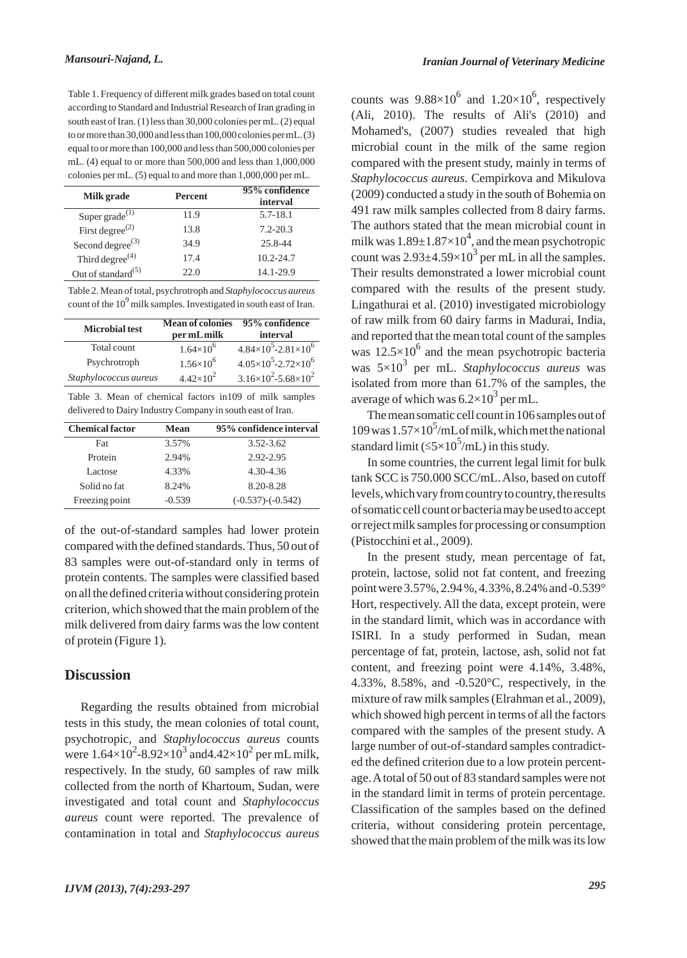Table 1. Frequency of different milk grades based on total count according to Standard and Industrial Research of Iran grading in south east of Iran. (1) less than 30,000 colonies per mL. (2) equal to or more than 30,000 and less than 100,000 colonies per mL. (3) equal to or more than 100,000 and less than 500,000 colonies per mL. (4) equal to or more than 500,000 and less than 1,000,000 colonies per mL. (5) equal to and more than 1,000,000 per mL.

| Milk grade                     | Percent | 95% confidence<br>interval |
|--------------------------------|---------|----------------------------|
| Super grade $^{(1)}$           | 11.9    | $5.7 - 18.1$               |
| First degree <sup>(2)</sup>    | 13.8    | $7.2 - 20.3$               |
| Second degree $^{(3)}$         | 34.9    | 25.8-44                    |
| Third degree <sup>(4)</sup>    | 17.4    | $10.2 - 24.7$              |
| Out of standard <sup>(5)</sup> | 22.0    | 14.1-29.9                  |

Table 2. Mean of total, psychrotroph and *Staphylococcus aureus* count of the 10<sup>9</sup> milk samples. Investigated in south east of Iran.

| <b>Microbial test</b> | <b>Mean of colonies</b><br>per mL milk | 95% confidence<br>interval               |
|-----------------------|----------------------------------------|------------------------------------------|
| Total count           | $1.64\times10^{6}$                     | $4.84\times10^{5}$ -2.81×10 <sup>6</sup> |
| Psychrotroph          | $1.56\times10^{6}$                     | $4.05\times10^{5}$ -2.72×10 <sup>6</sup> |
| Staphylococcus aureus | $4.42\times10^{2}$                     | $3.16\times10^{2} - 5.68\times10^{2}$    |

Table 3. Mean of chemical factors in109 of milk samples delivered to Dairy Industry Company in south east of Iran.

| <b>Chemical factor</b> | <b>Mean</b> | 95% confidence interval |
|------------------------|-------------|-------------------------|
| Fat                    | 3.57%       | $3.52 - 3.62$           |
| Protein                | 2.94%       | 2.92-2.95               |
| Lactose                | 4.33%       | 4.30-4.36               |
| Solid no fat           | 8.24%       | 8.20-8.28               |
| Freezing point         | $-0.539$    | $(-0.537)$ - $(-0.542)$ |

of the out-of-standard samples had lower protein compared with the defined standards. Thus, 50 out of 83 samples were out-of-standard only in terms of protein contents. The samples were classified based on all the defined criteria without considering protein criterion, which showed that the main problem of the milk delivered from dairy farms was the low content of protein (Figure 1).

#### **Discussion**

Regarding the results obtained from microbial tests in this study, the mean colonies of total count, psychotropic, and *Staphylococcus aureus* counts were  $1.64 \times 10^2 - 8.92 \times 10^3$  and  $4.42 \times 10^2$  per mL milk, respectively. In the study, 60 samples of raw milk collected from the north of Khartoum, Sudan, were investigated and total count and *Staphylococcus aureus* count were reported. The prevalence of contamination in total and *Staphylococcus aureus*

counts was  $9.88 \times 10^6$  and  $1.20 \times 10^6$ , respectively (Ali, 2010). The results of Ali's (2010) and Mohamed's, (2007) studies revealed that high microbial count in the milk of the same region compared with the present study, mainly in terms of *Staphylococcus aureus*. Cempirkova and Mikulova (2009) conducted a study in the south of Bohemia on 491 raw milk samples collected from 8 dairy farms. The authors stated that the mean microbial count in milk was  $1.89{\pm}1.87{\times}10^4$ , and the mean psychotropic count was  $2.93\pm4.59\times10^3$  per mL in all the samples. Their results demonstrated a lower microbial count compared with the results of the present study. Lingathurai et al. (2010) investigated microbiology of raw milk from 60 dairy farms in Madurai, India, and reported that the mean total count of the samples was  $12.5\times10^{6}$  and the mean psychotropic bacteria was 5×10<sup>3</sup> per mL. *Staphylococcus aureus* was isolated from more than 61.7% of the samples, the average of which was  $6.2\times10^3$  per mL.

The mean somatic cell count in 106 samples out of  $109$  was  $1.57\times10^5$ /mL of milk, which met the national standard limit ( $\leq 5 \times 10^5$ /mL) in this study.

In some countries, the current legal limit for bulk tank SCC is 750.000 SCC/mL. Also, based on cutoff levels, which vary from country to country, the results of somatic cell count or bacteria may be used to accept or reject milk samples for processing or consumption (Pistocchini et al., 2009).

In the present study, mean percentage of fat, protein, lactose, solid not fat content, and freezing point were 3.57%, 2.94 %, 4.33%, 8.24% and -0.539° Hort, respectively. All the data, except protein, were in the standard limit, which was in accordance with ISIRI. In a study performed in Sudan, mean percentage of fat, protein, lactose, ash, solid not fat content, and freezing point were 4.14%, 3.48%, 4.33%, 8.58%, and -0.520°C, respectively, in the mixture of raw milk samples (Elrahman et al., 2009), which showed high percent in terms of all the factors compared with the samples of the present study. A large number of out-of-standard samples contradicted the defined criterion due to a low protein percentage. Atotal of 50 out of 83 standard samples were not in the standard limit in terms of protein percentage. Classification of the samples based on the defined criteria, without considering protein percentage, showed that the main problem of the milk was its low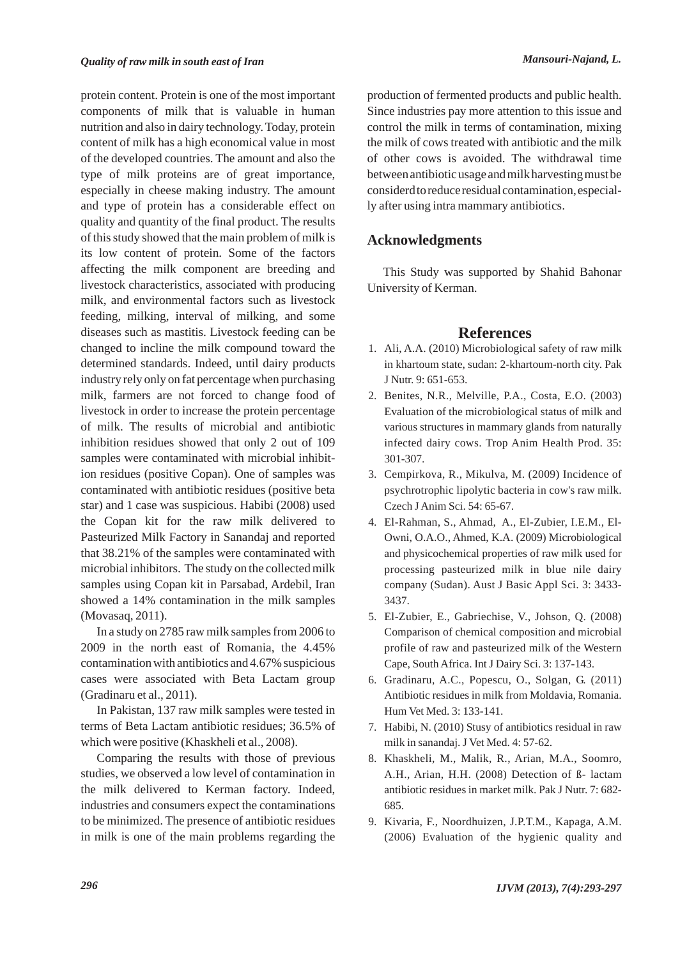protein content. Protein is one of the most important components of milk that is valuable in human nutrition and also in dairy technology. Today, protein content of milk has a high economical value in most of the developed countries. The amount and also the type of milk proteins are of great importance, especially in cheese making industry. The amount and type of protein has a considerable effect on quality and quantity of the final product. The results of this study showed that the main problem of milk is its low content of protein. Some of the factors affecting the milk component are breeding and livestock characteristics, associated with producing milk, and environmental factors such as livestock feeding, milking, interval of milking, and some diseases such as mastitis. Livestock feeding can be changed to incline the milk compound toward the determined standards. Indeed, until dairy products industry rely only on fat percentage when purchasing milk, farmers are not forced to change food of livestock in order to increase the protein percentage of milk. The results of microbial and antibiotic inhibition residues showed that only 2 out of 109 samples were contaminated with microbial inhibition residues (positive Copan). One of samples was contaminated with antibiotic residues (positive beta star) and 1 case was suspicious. Habibi (2008) used the Copan kit for the raw milk delivered to Pasteurized Milk Factory in Sanandaj and reported that 38.21% of the samples were contaminated with microbial inhibitors. The study on the collected milk samples using Copan kit in Parsabad, Ardebil, Iran showed a 14% contamination in the milk samples (Movasaq, 2011).

In a study on 2785 raw milk samples from 2006 to 2009 in the north east of Romania, the 4.45% contamination with antibiotics and 4.67% suspicious cases were associated with Beta Lactam group (Gradinaru et al., 2011).

In Pakistan, 137 raw milk samples were tested in terms of Beta Lactam antibiotic residues; 36.5% of which were positive (Khaskheli et al., 2008).

Comparing the results with those of previous studies, we observed a low level of contamination in the milk delivered to Kerman factory. Indeed, industries and consumers expect the contaminations to be minimized. The presence of antibiotic residues in milk is one of the main problems regarding the production of fermented products and public health. Since industries pay more attention to this issue and control the milk in terms of contamination, mixing the milk of cows treated with antibiotic and the milk of other cows is avoided. The withdrawal time between antibiotic usage and milk harvesting must be considerd to reduce residual contamination, especially after using intra mammary antibiotics.

### **Acknowledgments**

This Study was supported by Shahid Bahonar University of Kerman.

### **References**

- Ali, A.A. (2010) Microbiological safety of raw milk 1. in khartoum state, sudan: 2-khartoum-north city. Pak J Nutr. 9: 651-653.
- Benites, N.R., Melville, P.A., Costa, E.O. (2003) 2. Evaluation of the microbiological status of milk and various structures in mammary glands from naturally infected dairy cows. Trop Anim Health Prod. 35: 301-307.
- Cempirkova, R., Mikulva, M. (2009) Incidence of 3. psychrotrophic lipolytic bacteria in cow's raw milk. Czech J Anim Sci. 54: 65-67.
- El-Rahman, S., Ahmad, A., El-Zubier, I.E.M., El-4. Owni, O.A.O., Ahmed, K.A. (2009) Microbiological and physicochemical properties of raw milk used for processing pasteurized milk in blue nile dairy company (Sudan). Aust J Basic Appl Sci. 3: 3433- 3437.
- El-Zubier, E., Gabriechise, V., Johson, Q. (2008) 5. Comparison of chemical composition and microbial profile of raw and pasteurized milk of the Western Cape, South Africa. Int J Dairy Sci. 3: 137-143.
- Gradinaru, A.C., Popescu, O., Solgan, G. (2011) 6. Antibiotic residues in milk from Moldavia, Romania. Hum Vet Med. 3: 133-141.
- 7. Habibi, N. (2010) Stusy of antibiotics residual in raw milk in sanandaj. J Vet Med. 4: 57-62.
- 8. Khaskheli, M., Malik, R., Arian, M.A., Soomro, A.H., Arian, H.H. (2008) Detection of ß- lactam antibiotic residues in market milk. Pak J Nutr. 7: 682- 685.
- 9. Kivaria, F., Noordhuizen, J.P.T.M., Kapaga, A.M. (2006) Evaluation of the hygienic quality and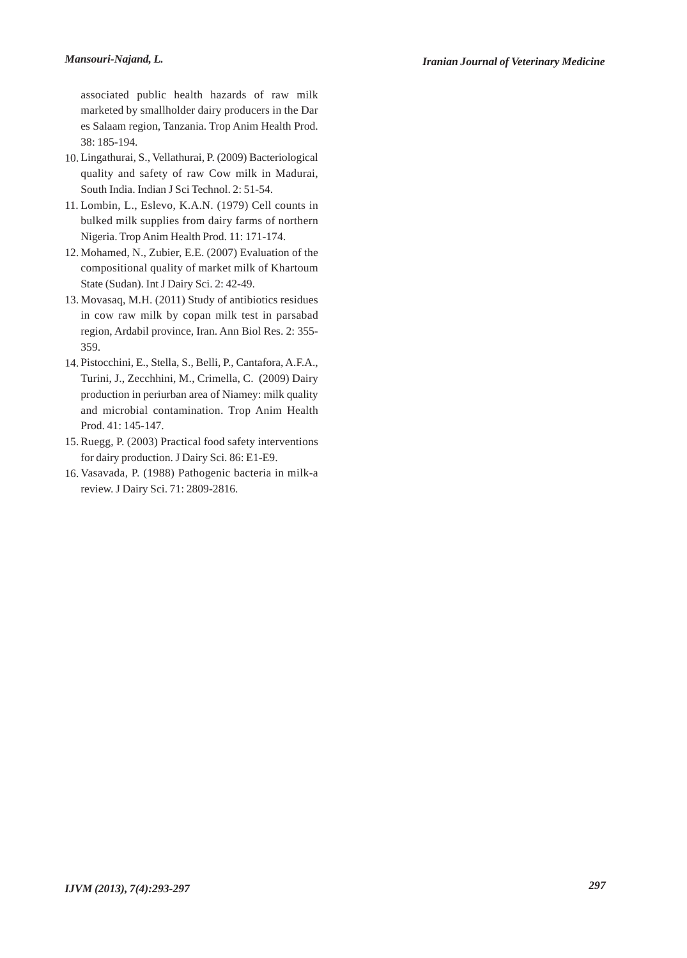associated public health hazards of raw milk marketed by smallholder dairy producers in the Dar es Salaam region, Tanzania. Trop Anim Health Prod. 38: 185-194.

- Lingathurai, S., Vellathurai, P. (2009) Bacteriological 10. quality and safety of raw Cow milk in Madurai, South India. Indian J Sci Technol. 2: 51-54.
- Lombin, L., Eslevo, K.A.N. (1979) Cell counts in 11. bulked milk supplies from dairy farms of northern Nigeria. Trop Anim Health Prod. 11: 171-174.
- 12. Mohamed, N., Zubier, E.E. (2007) Evaluation of the compositional quality of market milk of Khartoum State (Sudan). Int J Dairy Sci. 2: 42-49.
- 13. Movasaq, M.H. (2011) Study of antibiotics residues in cow raw milk by copan milk test in parsabad region, Ardabil province, Iran. Ann Biol Res. 2: 355- 359.
- Pistocchini, E., Stella, S., Belli, P., Cantafora, A.F.A., 14. Turini, J., Zecchhini, M., Crimella, C. (2009) Dairy production in periurban area of Niamey: milk quality and microbial contamination. Trop Anim Health Prod. 41: 145-147.
- 15. Ruegg, P. (2003) Practical food safety interventions for dairy production. J Dairy Sci. 86: E1-E9.
- 16. Vasavada, P. (1988) Pathogenic bacteria in milk-a review. J Dairy Sci. 71: 2809-2816.